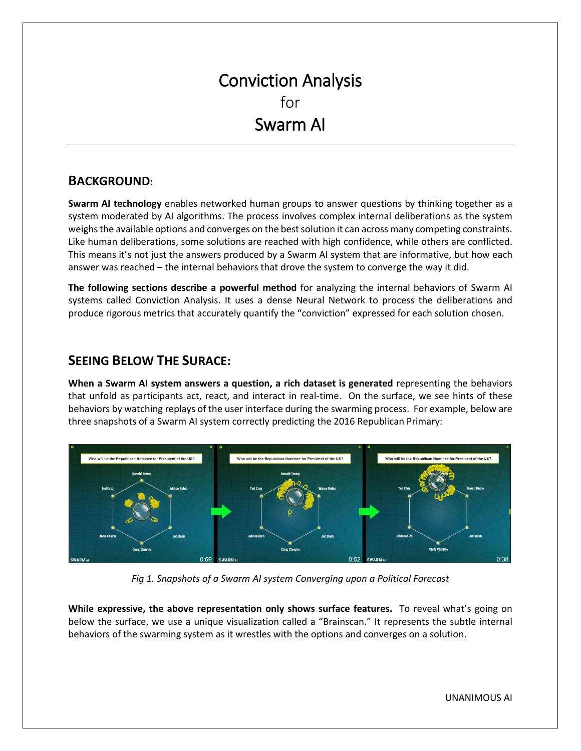# Conviction Analysis for Swarm AI

## **BACKGROUND:**

**Swarm AI technology** enables networked human groups to answer questions by thinking together as a system moderated by AI algorithms. The process involves complex internal deliberations as the system weighs the available options and converges on the best solution it can across many competing constraints. Like human deliberations, some solutions are reached with high confidence, while others are conflicted. This means it's not just the answers produced by a Swarm AI system that are informative, but how each answer was reached – the internal behaviors that drove the system to converge the way it did.

**The following sections describe a powerful method** for analyzing the internal behaviors of Swarm AI systems called Conviction Analysis. It uses a dense Neural Network to process the deliberations and produce rigorous metrics that accurately quantify the "conviction" expressed for each solution chosen.

## **SEEING BELOW THE SURACE:**

**When a Swarm AI system answers a question, a rich dataset is generated** representing the behaviors that unfold as participants act, react, and interact in real-time. On the surface, we see hints of these behaviors by watching replays of the user interface during the swarming process. For example, below are three snapshots of a Swarm AI system correctly predicting the 2016 Republican Primary:



*Fig 1. Snapshots of a Swarm AI system Converging upon a Political Forecast*

**While expressive, the above representation only shows surface features.** To reveal what's going on below the surface, we use a unique visualization called a "Brainscan." It represents the subtle internal behaviors of the swarming system as it wrestles with the options and converges on a solution.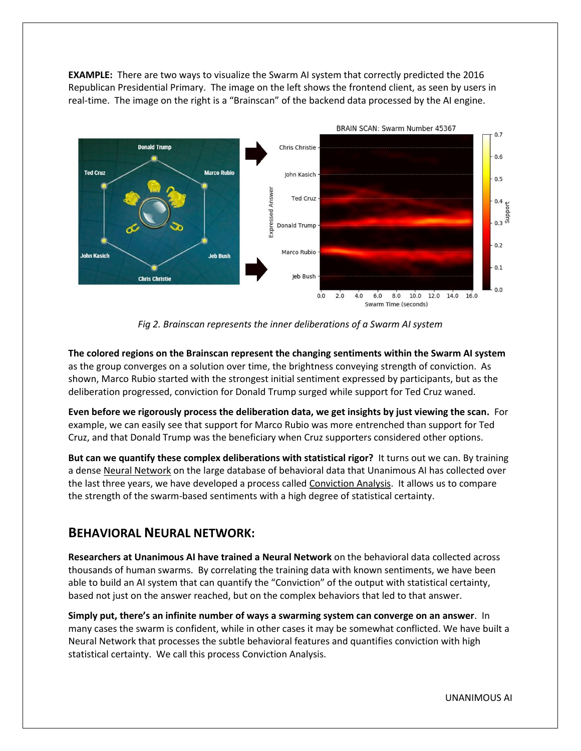**EXAMPLE:** There are two ways to visualize the Swarm AI system that correctly predicted the 2016 Republican Presidential Primary. The image on the left shows the frontend client, as seen by users in real-time. The image on the right is a "Brainscan" of the backend data processed by the AI engine.



*Fig 2. Brainscan represents the inner deliberations of a Swarm AI system*

**The colored regions on the Brainscan represent the changing sentiments within the Swarm AI system** as the group converges on a solution over time, the brightness conveying strength of conviction. As shown, Marco Rubio started with the strongest initial sentiment expressed by participants, but as the deliberation progressed, conviction for Donald Trump surged while support for Ted Cruz waned.

**Even before we rigorously process the deliberation data, we get insights by just viewing the scan.** For example, we can easily see that support for Marco Rubio was more entrenched than support for Ted Cruz, and that Donald Trump was the beneficiary when Cruz supporters considered other options.

**But can we quantify these complex deliberations with statistical rigor?** It turns out we can. By training a dense Neural Network on the large database of behavioral data that Unanimous AI has collected over the last three years, we have developed a process called Conviction Analysis. It allows us to compare the strength of the swarm-based sentiments with a high degree of statistical certainty.

#### **BEHAVIORAL NEURAL NETWORK:**

**Researchers at Unanimous AI have trained a Neural Network** on the behavioral data collected across thousands of human swarms. By correlating the training data with known sentiments, we have been able to build an AI system that can quantify the "Conviction" of the output with statistical certainty, based not just on the answer reached, but on the complex behaviors that led to that answer.

**Simply put, there's an infinite number of ways a swarming system can converge on an answer**. In many cases the swarm is confident, while in other cases it may be somewhat conflicted. We have built a Neural Network that processes the subtle behavioral features and quantifies conviction with high statistical certainty. We call this process Conviction Analysis.

UNANIMOUS AI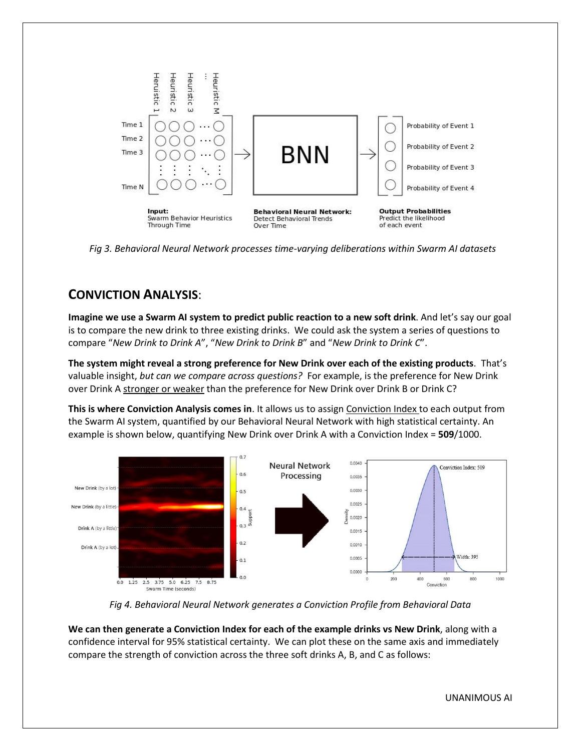

 *Fig 3. Behavioral Neural Network processes time-varying deliberations within Swarm AI datasets*

# **CONVICTION ANALYSIS**:

**Imagine we use a Swarm AI system to predict public reaction to a new soft drink**. And let's say our goal is to compare the new drink to three existing drinks. We could ask the system a series of questions to compare "*New Drink to Drink A*", "*New Drink to Drink B*" and "*New Drink to Drink C*".

**The system might reveal a strong preference for New Drink over each of the existing products**. That's valuable insight, *but can we compare across questions?* For example, is the preference for New Drink over Drink A stronger or weaker than the preference for New Drink over Drink B or Drink C?

**This is where Conviction Analysis comes in**. It allows us to assign Conviction Index to each output from the Swarm AI system, quantified by our Behavioral Neural Network with high statistical certainty. An example is shown below, quantifying New Drink over Drink A with a Conviction Index = **509**/1000.



*Fig 4. Behavioral Neural Network generates a Conviction Profile from Behavioral Data*

**We can then generate a Conviction Index for each of the example drinks vs New Drink**, along with a confidence interval for 95% statistical certainty. We can plot these on the same axis and immediately compare the strength of conviction across the three soft drinks A, B, and C as follows: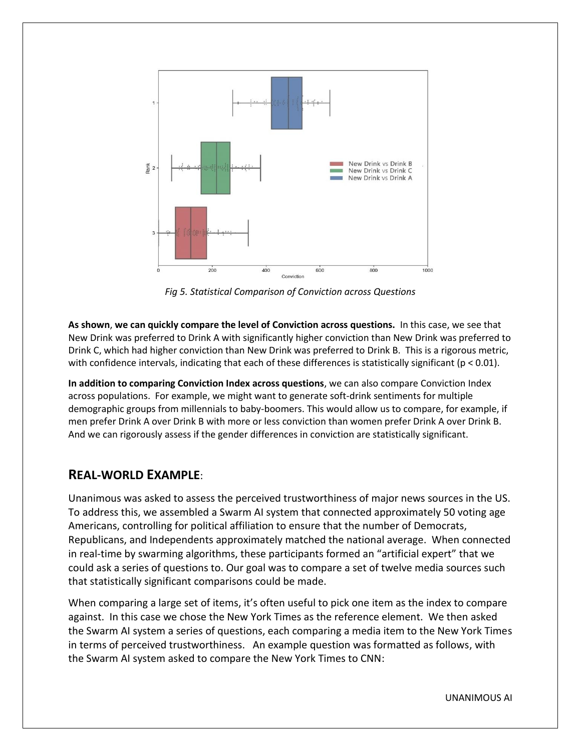

*Fig 5. Statistical Comparison of Conviction across Questions*

**As shown**, **we can quickly compare the level of Conviction across questions.** In this case, we see that New Drink was preferred to Drink A with significantly higher conviction than New Drink was preferred to Drink C, which had higher conviction than New Drink was preferred to Drink B. This is a rigorous metric, with confidence intervals, indicating that each of these differences is statistically significant ( $p < 0.01$ ).

**In addition to comparing Conviction Index across questions**, we can also compare Conviction Index across populations. For example, we might want to generate soft-drink sentiments for multiple demographic groups from millennials to baby-boomers. This would allow us to compare, for example, if men prefer Drink A over Drink B with more or less conviction than women prefer Drink A over Drink B. And we can rigorously assess if the gender differences in conviction are statistically significant.

### **REAL-WORLD EXAMPLE**:

Unanimous was asked to assess the perceived trustworthiness of major news sources in the US. To address this, we assembled a Swarm AI system that connected approximately 50 voting age Americans, controlling for political affiliation to ensure that the number of Democrats, Republicans, and Independents approximately matched the national average. When connected in real-time by swarming algorithms, these participants formed an "artificial expert" that we could ask a series of questions to. Our goal was to compare a set of twelve media sources such that statistically significant comparisons could be made.

When comparing a large set of items, it's often useful to pick one item as the index to compare against. In this case we chose the New York Times as the reference element. We then asked the Swarm AI system a series of questions, each comparing a media item to the New York Times in terms of perceived trustworthiness. An example question was formatted as follows, with the Swarm AI system asked to compare the New York Times to CNN:

UNANIMOUS AI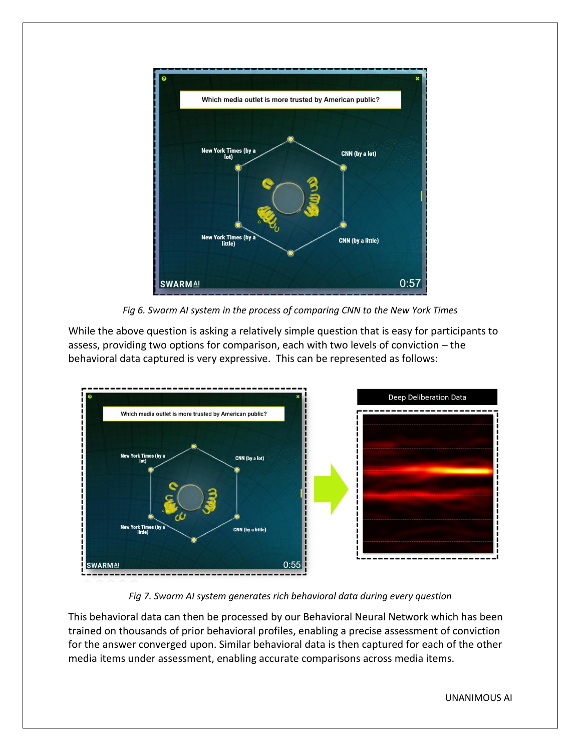

*Fig 6. Swarm AI system in the process of comparing CNN to the New York Times*

While the above question is asking a relatively simple question that is easy for participants to assess, providing two options for comparison, each with two levels of conviction – the behavioral data captured is very expressive. This can be represented as follows:



*Fig 7. Swarm AI system generates rich behavioral data during every question*

This behavioral data can then be processed by our Behavioral Neural Network which has been trained on thousands of prior behavioral profiles, enabling a precise assessment of conviction for the answer converged upon. Similar behavioral data is then captured for each of the other media items under assessment, enabling accurate comparisons across media items.